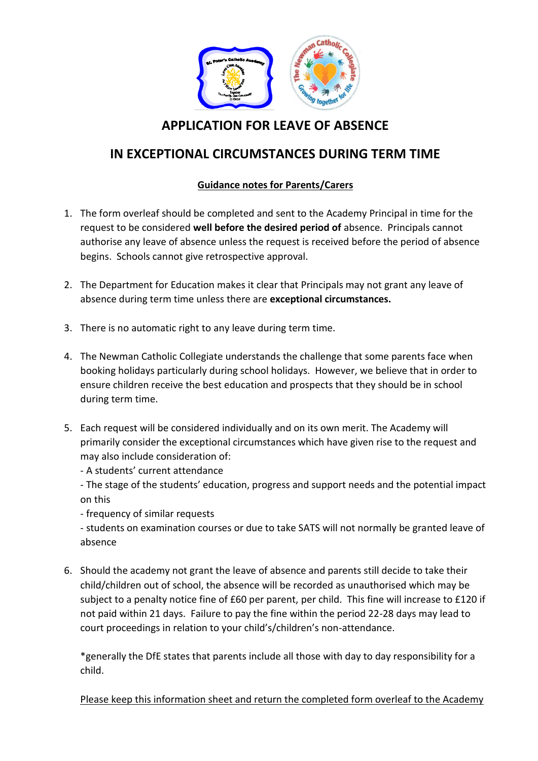

### **APPLICATION FOR LEAVE OF ABSENCE**

## **IN EXCEPTIONAL CIRCUMSTANCES DURING TERM TIME**

#### **Guidance notes for Parents/Carers**

- 1. The form overleaf should be completed and sent to the Academy Principal in time for the request to be considered **well before the desired period of** absence. Principals cannot authorise any leave of absence unless the request is received before the period of absence begins. Schools cannot give retrospective approval.
- 2. The Department for Education makes it clear that Principals may not grant any leave of absence during term time unless there are **exceptional circumstances.**
- 3. There is no automatic right to any leave during term time.
- 4. The Newman Catholic Collegiate understands the challenge that some parents face when booking holidays particularly during school holidays. However, we believe that in order to ensure children receive the best education and prospects that they should be in school during term time.
- 5. Each request will be considered individually and on its own merit. The Academy will primarily consider the exceptional circumstances which have given rise to the request and may also include consideration of:
	- A students' current attendance

- The stage of the students' education, progress and support needs and the potential impact on this

- frequency of similar requests

- students on examination courses or due to take SATS will not normally be granted leave of absence

6. Should the academy not grant the leave of absence and parents still decide to take their child/children out of school, the absence will be recorded as unauthorised which may be subject to a penalty notice fine of £60 per parent, per child. This fine will increase to £120 if not paid within 21 days. Failure to pay the fine within the period 22-28 days may lead to court proceedings in relation to your child's/children's non-attendance.

\*generally the DfE states that parents include all those with day to day responsibility for a child.

Please keep this information sheet and return the completed form overleaf to the Academy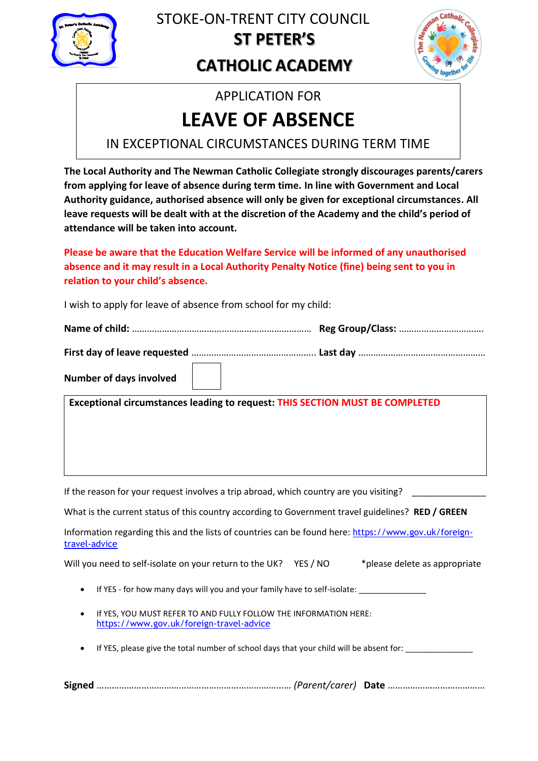

## **ST PETER'S CATHOLIC ACADEMY** STOKE-ON-TRENT CITY COUNCIL



## APPLICATION FOR

# **LEAVE OF ABSENCE**

IN EXCEPTIONAL CIRCUMSTANCES DURING TERM TIME

**The Local Authority and The Newman Catholic Collegiate strongly discourages parents/carers from applying for leave of absence during term time. In line with Government and Local Authority guidance, authorised absence will only be given for exceptional circumstances. All leave requests will be dealt with at the discretion of the Academy and the child's period of attendance will be taken into account.**

**Please be aware that the Education Welfare Service will be informed of any unauthorised absence and it may result in a Local Authority Penalty Notice (fine) being sent to you in relation to your child's absence.** 

I wish to apply for leave of absence from school for my child:

**Name of child:** ……………………………………………………………… **Reg Group/Class:** …………………………….

**First day of leave requested** ………………………………………….. **Last day** ……………………………………………

| Number of days involved |  |  |
|-------------------------|--|--|
|-------------------------|--|--|

**Exceptional circumstances leading to request: THIS SECTION MUST BE COMPLETED**

If the reason for your request involves a trip abroad, which country are you visiting?

What is the current status of this country according to Government travel guidelines? **RED / GREEN**

Information regarding this and the lists of countries can be found here: [https://www.gov.uk/foreign](https://www.gov.uk/foreign-travel-advice)[travel-advice](https://www.gov.uk/foreign-travel-advice)

Will you need to self-isolate on your return to the UK? YES / NO \*please delete as appropriate

- If YES for how many days will you and your family have to self-isolate:
- If YES, YOU MUST REFER TO AND FULLY FOLLOW THE INFORMATION HERE: <https://www.gov.uk/foreign-travel-advice>
- If YES, please give the total number of school days that your child will be absent for:

**Signed** …………………………………………………………………… *(Parent/carer)* **Date** …………………………………